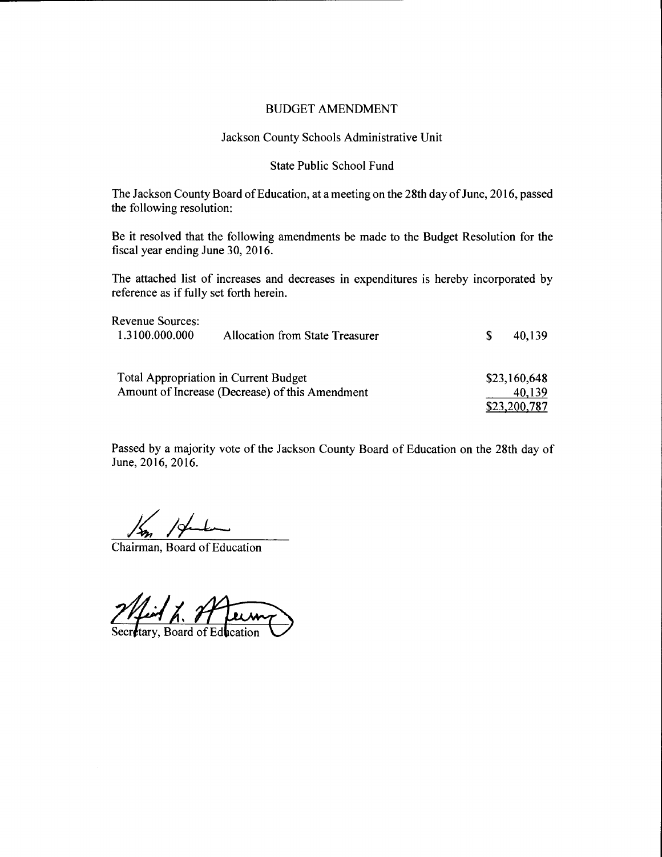# Jackson County Schools Administrative Unit

#### State Public School Fund

The Jackson County Board of Education, at a meeting on the 28th day of June, 2016, passed the following resolution:

Be it resolved that the following amendments be made to the Budget Resolution for the fiscal year ending June 30, 2016.

The attached list of increases and decreases in expenditures is hereby incorporated by reference as if fully set forth herein.

| Revenue Sources: |                                                 |   |              |
|------------------|-------------------------------------------------|---|--------------|
| 1.3100.000.000   | Allocation from State Treasurer                 | S | 40,139       |
|                  | <b>Total Appropriation in Current Budget</b>    |   | \$23,160,648 |
|                  |                                                 |   |              |
|                  | Amount of Increase (Decrease) of this Amendment |   | 40,139       |
|                  |                                                 |   | \$23,200,787 |

Passed by a majority vote of the Jackson County Board of Education on the 28th day of June, 2016, 2016.

Chairman, Board of Education

Mid L. A

tary, Board of Education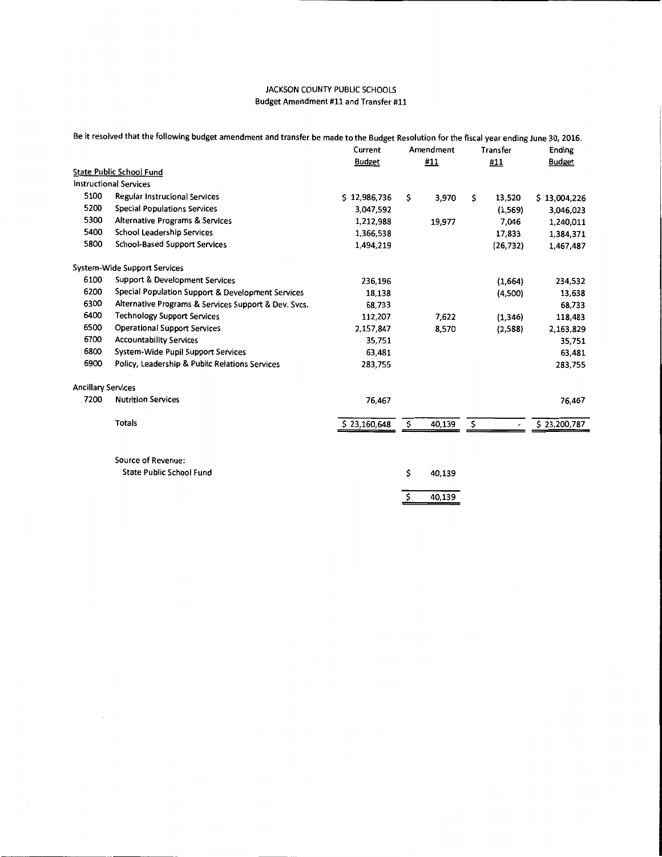|                           | Be it resolved that the following budget amendment and transfer be made to the Budget Resolution for the fiscal year ending June 30, 2016. |               |           |        |     |                          |               |
|---------------------------|--------------------------------------------------------------------------------------------------------------------------------------------|---------------|-----------|--------|-----|--------------------------|---------------|
|                           |                                                                                                                                            | Current       | Amendment |        |     | Transfer                 | Ending        |
|                           |                                                                                                                                            | <b>Budget</b> | #11       |        | #11 |                          | <b>Budget</b> |
|                           | <b>State Public School Fund</b>                                                                                                            |               |           |        |     |                          |               |
|                           | <b>Instructional Services</b>                                                                                                              |               |           |        |     |                          |               |
| 5100                      | Regular Instrucional Services                                                                                                              | \$12,986,736  | \$        | 3,970  | \$  | 13,520                   | \$13,004,226  |
| 5200                      | <b>Special Populations Services</b>                                                                                                        | 3,047,592     |           |        |     | (1,569)                  | 3,046,023     |
| 5300                      | <b>Alternative Programs &amp; Services</b>                                                                                                 | 1,212,988     |           | 19,977 |     | 7,046                    | 1,240,011     |
| 5400                      | School Leadership Services                                                                                                                 | 1,366,538     |           |        |     | 17,833                   | 1,384,371     |
| 5800                      | <b>School-Based Support Services</b>                                                                                                       | 1,494,219     |           |        |     | (26, 732)                | 1,467,487     |
|                           | <b>System-Wide Support Services</b>                                                                                                        |               |           |        |     |                          |               |
| 6100                      | <b>Support &amp; Development Services</b>                                                                                                  | 236,196       |           |        |     | (1,664)                  | 234,532       |
| 6200                      | Special Population Support & Development Services                                                                                          | 18,138        |           |        |     | (4,500)                  | 13,638        |
| 6300                      | Alternative Programs & Services Support & Dev. Svcs.                                                                                       | 68,733        |           |        |     |                          | 68,733        |
| 6400                      | <b>Technology Support Services</b>                                                                                                         | 112,207       |           | 7,622  |     | (1, 346)                 | 118,483       |
| 6500                      | <b>Operational Support Services</b>                                                                                                        | 2,157,847     |           | 8,570  |     | (2,588)                  | 2,163,829     |
| 6700                      | <b>Accountability Services</b>                                                                                                             | 35,751        |           |        |     |                          | 35,751        |
| 6800                      | System-Wide Pupil Support Services                                                                                                         | 63,481        |           |        |     |                          | 63,481        |
| 6900                      | Policy, Leadership & Public Relations Services                                                                                             | 283,755       |           |        |     |                          | 283,755       |
| <b>Ancillary Services</b> |                                                                                                                                            |               |           |        |     |                          |               |
| 7200                      | <b>Nutrition Services</b>                                                                                                                  | 76,467        |           |        |     |                          | 76,467        |
|                           | <b>Totals</b>                                                                                                                              | \$23,160,648  | \$        | 40,139 | \$  | $\overline{\phantom{a}}$ | \$23,200,787  |
|                           | Source of Revenue:                                                                                                                         |               |           |        |     |                          |               |
|                           | <b>State Public School Fund</b>                                                                                                            |               | \$        | 40,139 |     |                          |               |
|                           |                                                                                                                                            |               | \$        | 40,139 |     |                          |               |
|                           |                                                                                                                                            |               |           |        |     |                          |               |

 $\sim$   $\sim$ 

 $\sim$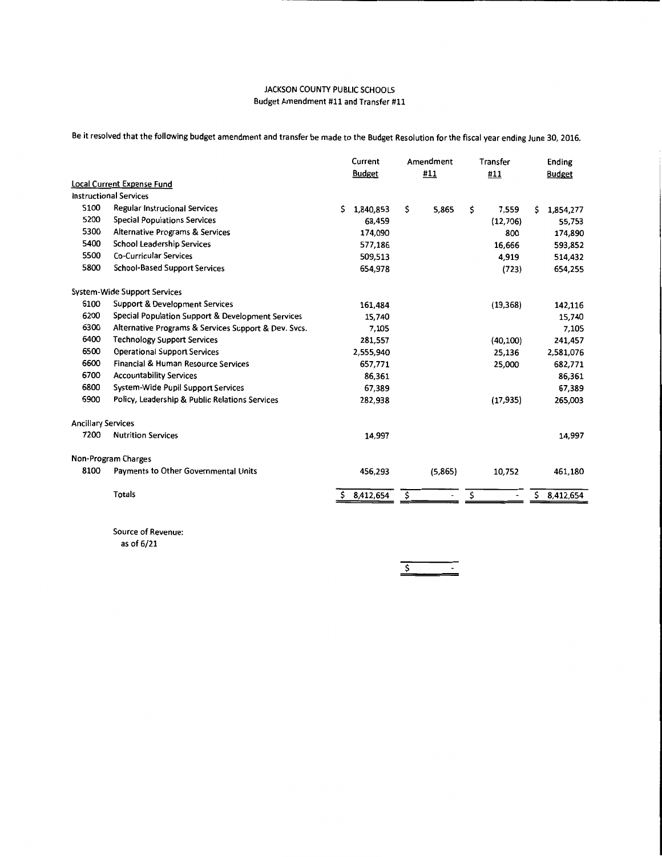Be it resolved that the following budget amendment and transfer be made to the Budget Resolution for the fiscal year ending June 30, 2016.

|                           |                                                      | Current |               | Amendment |         | Transfer |                          | Ending        |           |
|---------------------------|------------------------------------------------------|---------|---------------|-----------|---------|----------|--------------------------|---------------|-----------|
|                           |                                                      |         | <b>Budget</b> |           | #11     |          | #11                      | <b>Budget</b> |           |
|                           | <b>Local Current Expense Fund</b>                    |         |               |           |         |          |                          |               |           |
|                           | <b>Instructional Services</b>                        |         |               |           |         |          |                          |               |           |
| 5100                      | <b>Regular Instrucional Services</b>                 | Ś.      | 1,840,853     | \$        | 5,865   | \$       | 7,559                    | Ś             | 1,854,277 |
| 5200                      | <b>Special Populations Services</b>                  |         | 68,459        |           |         |          | (12,706)                 |               | 55,753    |
| 5300                      | Alternative Programs & Services                      |         | 174,090       |           |         |          | 800                      |               | 174,890   |
| 5400                      | <b>School Leadership Services</b>                    |         | 577,186       |           |         |          | 16,666                   |               | 593,852   |
| 5500                      | <b>Co-Curricular Services</b>                        |         | 509,513       |           |         |          | 4,919                    |               | 514,432   |
| 5800                      | <b>School-Based Support Services</b>                 |         | 654,978       |           |         |          | (723)                    |               | 654,255   |
|                           | <b>System-Wide Support Services</b>                  |         |               |           |         |          |                          |               |           |
| 6100                      | <b>Support &amp; Development Services</b>            |         | 161,484       |           |         |          | (19, 368)                |               | 142,116   |
| 6200                      | Special Population Support & Development Services    |         | 15,740        |           |         |          |                          |               | 15,740    |
| 6300                      | Alternative Programs & Services Support & Dev. Svcs. |         | 7.105         |           |         |          |                          |               | 7,105     |
| 6400                      | <b>Technology Support Services</b>                   |         | 281,557       |           |         |          | (40, 100)                |               | 241,457   |
| 6500                      | <b>Operational Support Services</b>                  |         | 2,555,940     |           |         |          | 25,136                   |               | 2,581,076 |
| 6600                      | Financial & Human Resource Services                  |         | 657,771       |           |         |          | 25,000                   |               | 682,771   |
| 6700                      | <b>Accountability Services</b>                       |         | 86.361        |           |         |          |                          |               | 86,361    |
| 6800                      | System-Wide Pupil Support Services                   |         | 67,389        |           |         |          |                          |               | 67,389    |
| 6900                      | Policy, Leadership & Public Relations Services       |         | 282,938       |           |         |          | (17, 935)                |               | 265,003   |
| <b>Ancillary Services</b> |                                                      |         |               |           |         |          |                          |               |           |
| 7200                      | <b>Nutrition Services</b>                            |         | 14,997        |           |         |          |                          |               | 14,997    |
|                           | Non-Program Charges                                  |         |               |           |         |          |                          |               |           |
| 8100                      | Payments to Other Governmental Units                 |         | 456,293       |           | (5,865) |          | 10,752                   |               | 461,180   |
|                           | <b>Totals</b>                                        | Ś.      | 8,412,654     | \$        |         | \$       | $\overline{\phantom{a}}$ | \$            | 8,412,654 |
|                           |                                                      |         |               |           |         |          |                          |               |           |

Source of Revenue:

as of 6/21

*\$*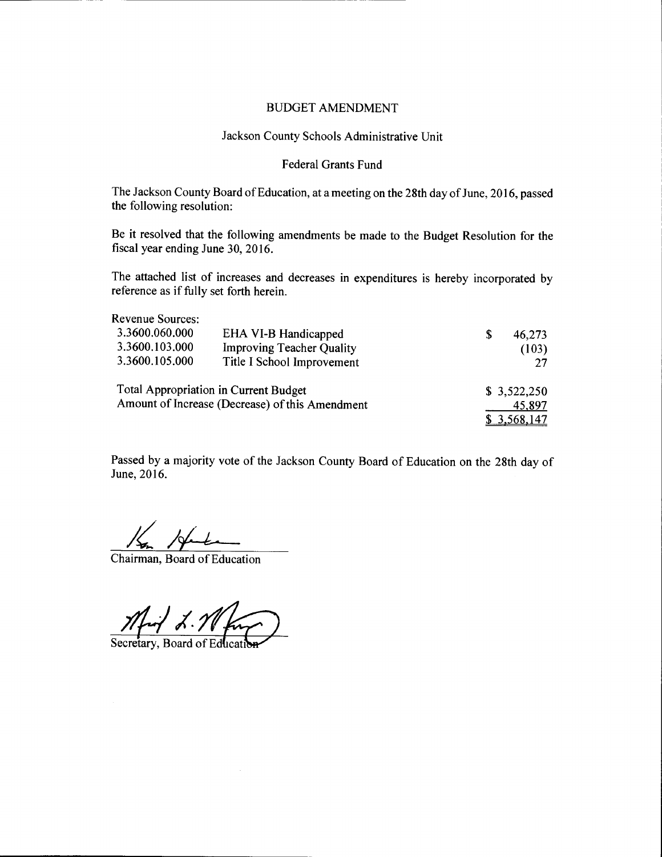# Jackson County Schools Administrative Unit

# Federal Grants Fund

The Jackson County Board of Education, at a meeting on the 28th day of June, 2016, passed the following resolution:

Be it resolved that the following amendments be made to the Budget Resolution for the fiscal year ending June 30, 2016.

The attached list of increases and decreases in expenditures is hereby incorporated by reference as if fully set forth herein.

| <b>Revenue Sources:</b> |                                                 |   |                  |
|-------------------------|-------------------------------------------------|---|------------------|
| 3.3600.060.000          | EHA VI-B Handicapped                            | S | 46,273           |
| 3.3600.103.000          | <b>Improving Teacher Quality</b>                |   | (103)            |
| 3.3600.105.000          | Title I School Improvement                      |   |                  |
|                         | <b>Total Appropriation in Current Budget</b>    |   | \$3,522,250      |
|                         | Amount of Increase (Decrease) of this Amendment |   | 45,897           |
|                         |                                                 |   | <u>3,568,147</u> |

Passed by a majority vote of the Jackson County Board of Education on the 28th day of June, 2016.

 $\frac{1}{\sqrt{2\pi}}$   $\frac{1}{\sqrt{2\pi}}$  Chairman, Board of Education

Mart L. M.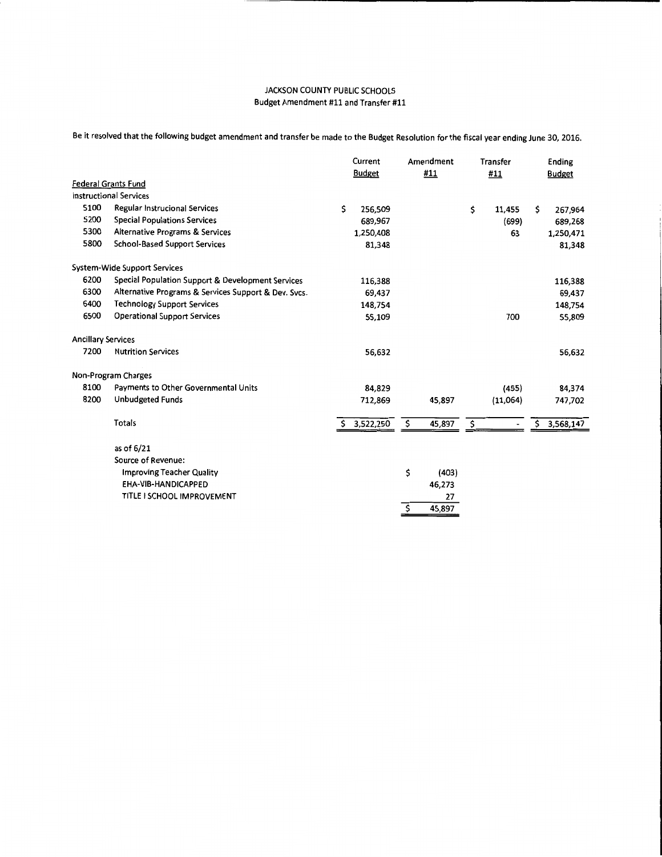Be it resolved that the following budget amendment and transfer be made to the Budget Resolution for the fiscal year ending June 30, 2016.

| <b>Budget</b><br>\$<br>267,964<br>689,268<br>1,250,471<br>81,348 |
|------------------------------------------------------------------|
|                                                                  |
|                                                                  |
|                                                                  |
|                                                                  |
|                                                                  |
|                                                                  |
|                                                                  |
|                                                                  |
| 116,388                                                          |
| 69,437                                                           |
| 148,754                                                          |
| 55,809                                                           |
|                                                                  |
| 56,632                                                           |
|                                                                  |
| 84,374                                                           |
| 747,702                                                          |
| 3,568,147<br>\$                                                  |
|                                                                  |
|                                                                  |
|                                                                  |
|                                                                  |
|                                                                  |
|                                                                  |
|                                                                  |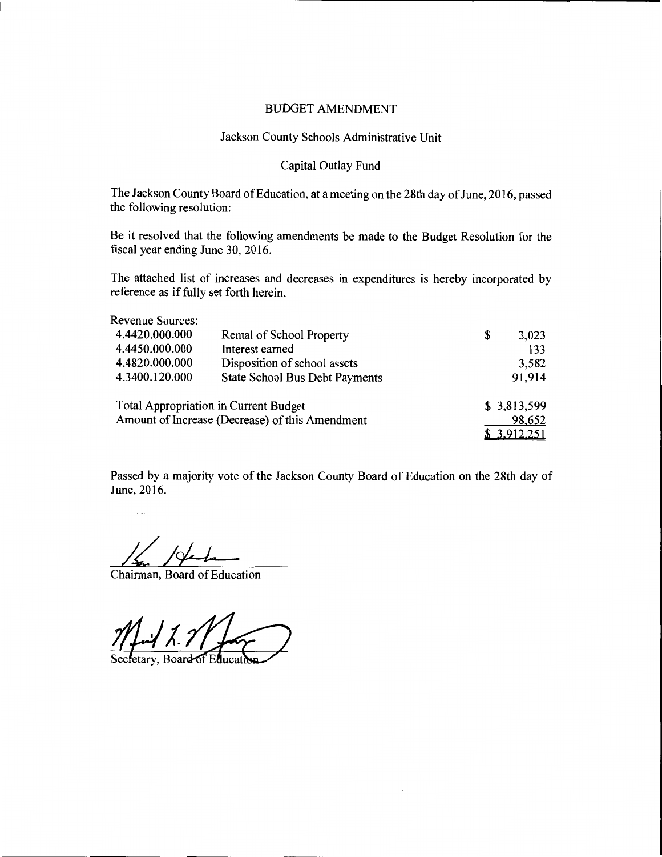# Jackson County Schools Administrative Unit

# Capital Outlay Fund

The Jackson County Board of Education, at a meeting on the 28th day of June, 2016, passed the following resolution:

Be it resolved that the following amendments be made to the Budget Resolution for the fiscal year ending June 30, 2016.

The attached list of increases and decreases in expenditures is hereby incorporated by reference as if fully set forth herein.

| Revenue Sources:                                |                                              |             |
|-------------------------------------------------|----------------------------------------------|-------------|
| 4.4420.000.000                                  | Rental of School Property                    | \$<br>3,023 |
| 4.4450.000.000                                  | Interest earned                              | 133         |
| 4.4820.000.000                                  | Disposition of school assets                 | 3,582       |
| 4.3400.120.000                                  | State School Bus Debt Payments               | 91,914      |
|                                                 | <b>Total Appropriation in Current Budget</b> | \$3,813,599 |
| Amount of Increase (Decrease) of this Amendment |                                              | 98,652      |
|                                                 |                                              | \$3,912,251 |

Passed by a majority vote of the Jackson County Board of Education on the 28th day of June, 2016.

Chairman, Board of Education

etary, Board of Ed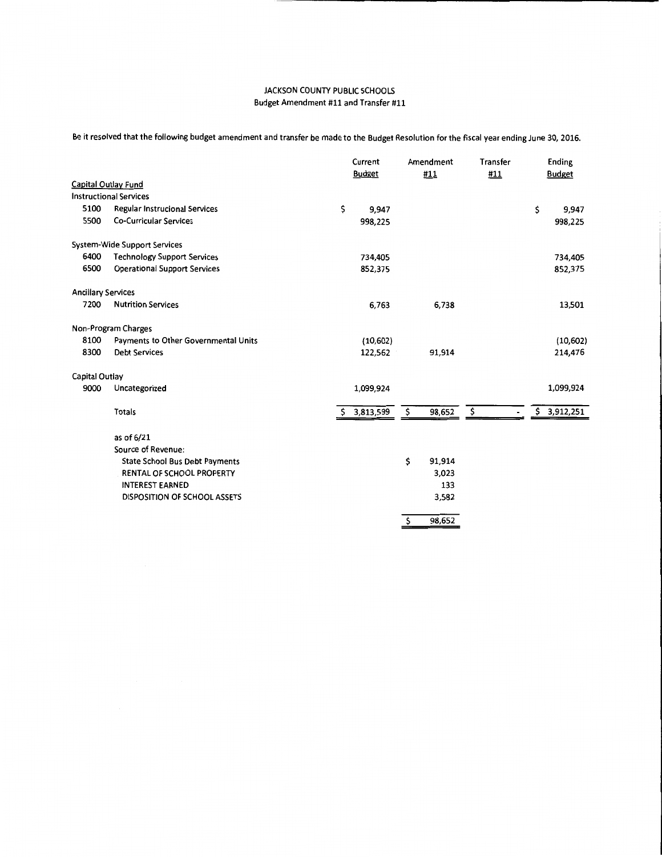Be it resolved that the following budget amendment and transfer be made to the Budget Resolution for the fiscal year ending June 30, 2016.

|                           |                                       | Current       | Amendment    | Transfer                           | Ending        |  |
|---------------------------|---------------------------------------|---------------|--------------|------------------------------------|---------------|--|
|                           |                                       | <b>Budget</b> | #11          | #11                                | <b>Budget</b> |  |
|                           | <b>Capital Outlay Fund</b>            |               |              |                                    |               |  |
|                           | <b>Instructional Services</b>         |               |              |                                    |               |  |
| 5100                      | Regular Instrucional Services         | \$<br>9,947   |              |                                    | \$<br>9,947   |  |
| 5500                      | <b>Co-Curricular Services</b>         | 998,225       |              |                                    | 998,225       |  |
|                           | <b>System-Wide Support Services</b>   |               |              |                                    |               |  |
| 6400                      | <b>Technology Support Services</b>    | 734,405       |              |                                    | 734,405       |  |
| 6500                      | <b>Operational Support Services</b>   | 852,375       |              |                                    | 852,375       |  |
| <b>Ancillary Services</b> |                                       |               |              |                                    |               |  |
| 7200                      | <b>Nutrition Services</b>             | 6,763         | 6,738        |                                    | 13,501        |  |
|                           | Non-Program Charges                   |               |              |                                    |               |  |
| 8100                      | Payments to Other Governmental Units  | (10,602)      |              |                                    | (10, 602)     |  |
| 8300                      | <b>Debt Services</b>                  | 122,562       | 91,914       |                                    | 214,476       |  |
| Capital Outlay            |                                       |               |              |                                    |               |  |
| 9000                      | Uncategorized                         | 1,099,924     |              |                                    | 1,099,924     |  |
|                           | Totals                                | \$3,813,599   | \$<br>98,652 | $\overline{\xi}$<br>$\blacksquare$ | \$3,912,251   |  |
|                           | as of 6/21                            |               |              |                                    |               |  |
|                           | Source of Revenue:                    |               |              |                                    |               |  |
|                           | <b>State School Bus Debt Payments</b> |               | \$<br>91,914 |                                    |               |  |
|                           | RENTAL OF SCHOOL PROPERTY             |               | 3,023        |                                    |               |  |
|                           | <b>INTEREST EARNED</b>                |               | 133          |                                    |               |  |
|                           | <b>DISPOSITION OF SCHOOL ASSETS</b>   |               | 3,582        |                                    |               |  |
|                           |                                       |               | 98,652<br>\$ |                                    |               |  |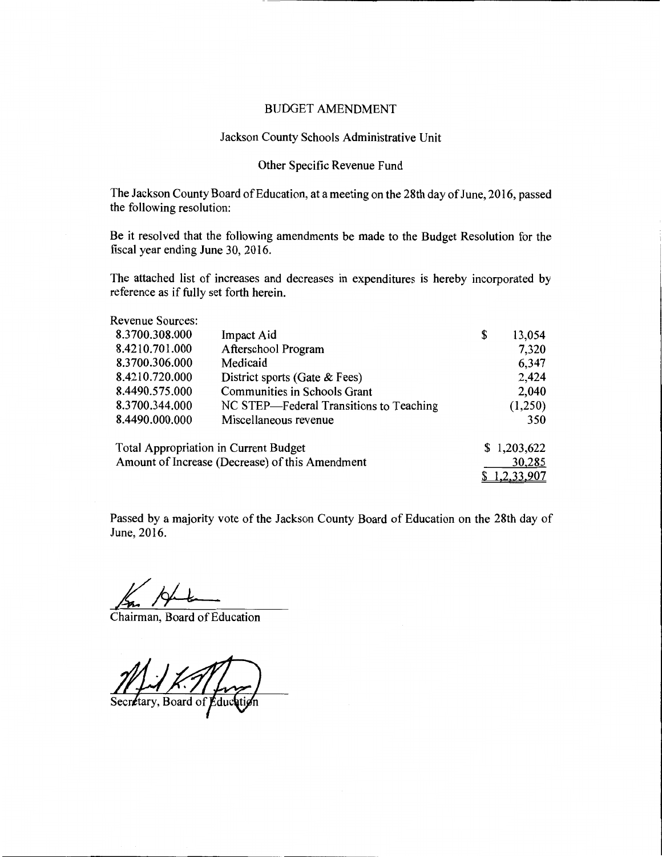#### Jackson County Schools Administrative Unit

# Other Specific Revenue Fund

The Jackson County Board of Education, at a meeting on the 28th day of June, 2016, passed the following resolution:

Be it resolved that the following amendments be made to the Budget Resolution for the fiscal year ending June 30, 2016.

The attached list of increases and decreases in expenditures is hereby incorporated by reference as if fully set forth herein.

Revenue Sources:

| 8.3700.308.000 | Impact Aid                              | \$<br>13,054 |
|----------------|-----------------------------------------|--------------|
| 8.4210.701.000 | Afterschool Program                     | 7,320        |
| 8.3700.306.000 | Medicaid                                | 6,347        |
| 8.4210.720.000 | District sports (Gate & Fees)           | 2,424        |
| 8.4490.575.000 | Communities in Schools Grant            | 2,040        |
| 8.3700.344.000 | NC STEP—Federal Transitions to Teaching | (1,250)      |
| 8.4490.000.000 | Miscellaneous revenue                   | 350          |
|                | Total Appropriation in Current Budget   | \$1.203.622  |

| Total Appropriation in Current Budget           | \$1,203,622  |
|-------------------------------------------------|--------------|
| Amount of Increase (Decrease) of this Amendment | 30,285       |
|                                                 | \$1,2,33,907 |

Passed by a majority vote of the Jackson County Board of Education on the 28th day of June, 2016.

Chairman, Board of Education

Secretary, Board of